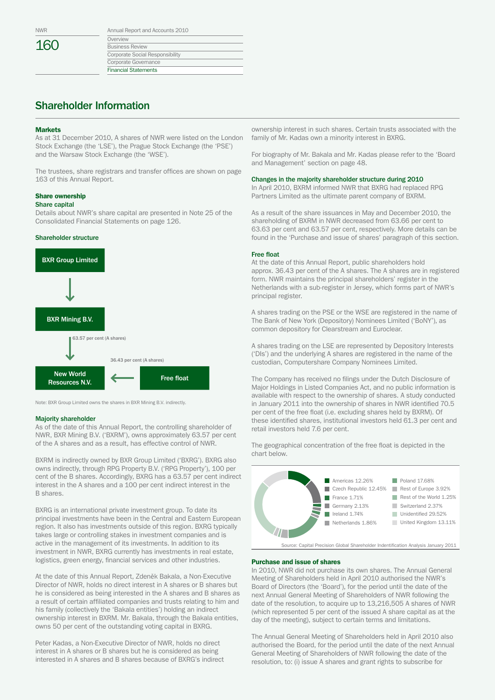| Annual Report and Accounts 2010        |  |  |
|----------------------------------------|--|--|
| Overview                               |  |  |
| <b>Business Review</b>                 |  |  |
| <b>Corporate Social Responsibility</b> |  |  |
| Corporate Governance                   |  |  |
| <b>Financial Statements</b>            |  |  |
|                                        |  |  |

# Shareholder Information

#### **Markets**

As at 31 December 2010, A shares of NWR were listed on the London Stock Exchange (the 'LSE'), the Prague Stock Exchange (the 'PSE') and the Warsaw Stock Exchange (the 'WSE').

The trustees, share registrars and transfer offices are shown on page 163 of this Annual Report.

# Share ownership

### Share capital

Details about NWR's share capital are presented in Note 25 of the Consolidated Financial Statements on page 126.

#### Shareholder structure



Note: BXR Group Limited owns the shares in BXR Mining B.V. indirectly.

## Majority shareholder

As of the date of this Annual Report, the controlling shareholder of NWR, BXR Mining B.V. ('BXRM'), owns approximately 63.57 per cent of the A shares and as a result, has effective control of NWR.

BXRM is indirectly owned by BXR Group Limited ('BXRG'). BXRG also owns indirectly, through RPG Property B.V. ('RPG Property'), 100 per cent of the B shares. Accordingly, BXRG has a 63.57 per cent indirect interest in the A shares and a 100 per cent indirect interest in the B shares.

BXRG is an international private investment group. To date its principal investments have been in the Central and Eastern European region. It also has investments outside of this region. BXRG typically takes large or controlling stakes in investment companies and is active in the management of its investments. In addition to its investment in NWR, BXRG currently has investments in real estate, logistics, green energy, financial services and other industries.

At the date of this Annual Report, Zdeněk Bakala, a Non-Executive Director of NWR, holds no direct interest in A shares or B shares but he is considered as being interested in the A shares and B shares as a result of certain affiliated companies and trusts relating to him and his family (collectively the 'Bakala entities') holding an indirect ownership interest in BXRM. Mr. Bakala, through the Bakala entities, owns 50 per cent of the outstanding voting capital in BXRG.

Peter Kadas, a Non-Executive Director of NWR, holds no direct interest in A shares or B shares but he is considered as being interested in A shares and B shares because of BXRG's indirect ownership interest in such shares. Certain trusts associated with the family of Mr. Kadas own a minority interest in BXRG.

For biography of Mr. Bakala and Mr. Kadas please refer to the 'Board and Management' section on page 48.

#### Changes in the majority shareholder structure during 2010

In April 2010, BXRM informed NWR that BXRG had replaced RPG Partners Limited as the ultimate parent company of BXRM.

As a result of the share issuances in May and December 2010, the shareholding of BXRM in NWR decreased from 63.66 per cent to 63.63 per cent and 63.57 per cent, respectively. More details can be found in the 'Purchase and issue of shares' paragraph of this section.

#### Free float

At the date of this Annual Report, public shareholders hold approx. 36.43 per cent of the A shares. The A shares are in registered form. NWR maintains the principal shareholders' register in the Netherlands with a sub-register in Jersey, which forms part of NWR's principal register.

A shares trading on the PSE or the WSE are registered in the name of The Bank of New York (Depository) Nominees Limited ('BoNY'), as common depository for Clearstream and Euroclear.

A shares trading on the LSE are represented by Depository Interests ('DIs') and the underlying A shares are registered in the name of the custodian, Computershare Company Nominees Limited.

The Company has received no filings under the Dutch Disclosure of Major Holdings in Listed Companies Act, and no public information is available with respect to the ownership of shares. A study conducted in January 2011 into the ownership of shares in NWR identified 70.5 per cent of the free float (i.e. excluding shares held by BXRM). Of these identified shares, institutional investors held 61.3 per cent and retail investors held 7.6 per cent.

The geographical concentration of the free float is depicted in the chart below.



#### Purchase and issue of shares

In 2010, NWR did not purchase its own shares. The Annual General Meeting of Shareholders held in April 2010 authorised the NWR's Board of Directors (the 'Board'), for the period until the date of the next Annual General Meeting of Shareholders of NWR following the date of the resolution, to acquire up to 13,216,505 A shares of NWR (which represented 5 per cent of the issued A share capital as at the day of the meeting), subject to certain terms and limitations.

The Annual General Meeting of Shareholders held in April 2010 also authorised the Board, for the period until the date of the next Annual General Meeting of Shareholders of NWR following the date of the resolution, to: (i) issue A shares and grant rights to subscribe for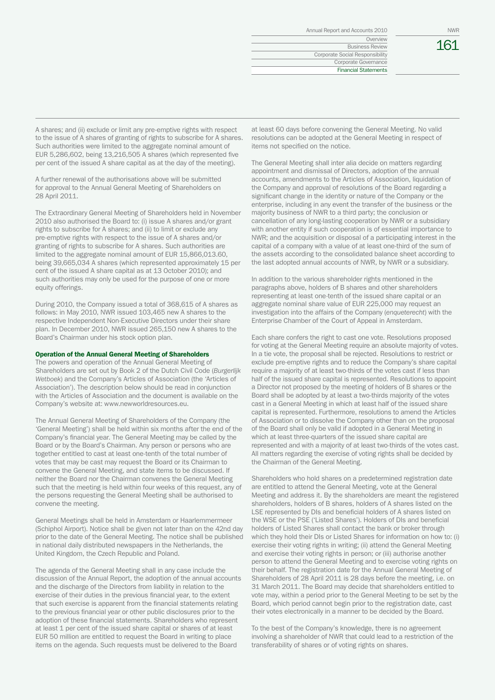| <b>NWR</b> | Annual Report and Accounts 2010        |
|------------|----------------------------------------|
|            | Overview                               |
|            | <b>Business Review</b>                 |
|            | <b>Corporate Social Responsibility</b> |
|            | Corporate Governance                   |
|            | <b>Financial Statements</b>            |

161

A shares; and (ii) exclude or limit any pre-emptive rights with respect to the issue of A shares of granting of rights to subscribe for A shares. Such authorities were limited to the aggregate nominal amount of EUR 5,286,602, being 13,216,505 A shares (which represented five per cent of the issued A share capital as at the day of the meeting).

A further renewal of the authorisations above will be submitted for approval to the Annual General Meeting of Shareholders on 28 April 2011.

The Extraordinary General Meeting of Shareholders held in November 2010 also authorised the Board to: (i) issue A shares and/or grant rights to subscribe for A shares; and (ii) to limit or exclude any pre-emptive rights with respect to the issue of A shares and/or granting of rights to subscribe for A shares. Such authorities are limited to the aggregate nominal amount of EUR 15,866,013.60, being 39,665,034 A shares (which represented approximately 15 per cent of the issued A share capital as at 13 October 2010); and such authorities may only be used for the purpose of one or more equity offerings.

During 2010, the Company issued a total of 368,615 of A shares as follows: in May 2010, NWR issued 103,465 new A shares to the respective Independent Non-Executive Directors under their share plan. In December 2010, NWR issued 265,150 new A shares to the Board's Chairman under his stock option plan.

## Operation of the Annual General Meeting of Shareholders

The powers and operation of the Annual General Meeting of Shareholders are set out by Book 2 of the Dutch Civil Code (*Burgerlijk Wetboek*) and the Company's Articles of Association (the 'Articles of Association'). The description below should be read in conjunction with the Articles of Association and the document is available on the Company's website at: www.newworldresources.eu.

The Annual General Meeting of Shareholders of the Company (the 'General Meeting') shall be held within six months after the end of the Company's financial year. The General Meeting may be called by the Board or by the Board's Chairman. Any person or persons who are together entitled to cast at least one-tenth of the total number of votes that may be cast may request the Board or its Chairman to convene the General Meeting, and state items to be discussed. If neither the Board nor the Chairman convenes the General Meeting such that the meeting is held within four weeks of this request, any of the persons requesting the General Meeting shall be authorised to convene the meeting.

General Meetings shall be held in Amsterdam or Haarlemmermeer (Schiphol Airport). Notice shall be given not later than on the 42nd day prior to the date of the General Meeting. The notice shall be published in national daily distributed newspapers in the Netherlands, the United Kingdom, the Czech Republic and Poland.

The agenda of the General Meeting shall in any case include the discussion of the Annual Report, the adoption of the annual accounts and the discharge of the Directors from liability in relation to the exercise of their duties in the previous financial year, to the extent that such exercise is apparent from the financial statements relating to the previous financial year or other public disclosures prior to the adoption of these financial statements. Shareholders who represent at least 1 per cent of the issued share capital or shares of at least EUR 50 million are entitled to request the Board in writing to place items on the agenda. Such requests must be delivered to the Board

at least 60 days before convening the General Meeting. No valid resolutions can be adopted at the General Meeting in respect of items not specified on the notice.

The General Meeting shall inter alia decide on matters regarding appointment and dismissal of Directors, adoption of the annual accounts, amendments to the Articles of Association, liquidation of the Company and approval of resolutions of the Board regarding a significant change in the identity or nature of the Company or the enterprise, including in any event the transfer of the business or the majority business of NWR to a third party; the conclusion or cancellation of any long-lasting cooperation by NWR or a subsidiary with another entity if such cooperation is of essential importance to NWR; and the acquisition or disposal of a participating interest in the capital of a company with a value of at least one-third of the sum of the assets according to the consolidated balance sheet according to the last adopted annual accounts of NWR, by NWR or a subsidiary.

In addition to the various shareholder rights mentioned in the paragraphs above, holders of B shares and other shareholders representing at least one-tenth of the issued share capital or an aggregate nominal share value of EUR 225,000 may request an investigation into the affairs of the Company (*enqueterecht*) with the Enterprise Chamber of the Court of Appeal in Amsterdam.

Each share confers the right to cast one vote. Resolutions proposed for voting at the General Meeting require an absolute majority of votes. In a tie vote, the proposal shall be rejected. Resolutions to restrict or exclude pre-emptive rights and to reduce the Company's share capital require a majority of at least two-thirds of the votes cast if less than half of the issued share capital is represented. Resolutions to appoint a Director not proposed by the meeting of holders of B shares or the Board shall be adopted by at least a two-thirds majority of the votes cast in a General Meeting in which at least half of the issued share capital is represented. Furthermore, resolutions to amend the Articles of Association or to dissolve the Company other than on the proposal of the Board shall only be valid if adopted in a General Meeting in which at least three-quarters of the issued share capital are represented and with a majority of at least two-thirds of the votes cast. All matters regarding the exercise of voting rights shall be decided by the Chairman of the General Meeting.

Shareholders who hold shares on a predetermined registration date are entitled to attend the General Meeting, vote at the General Meeting and address it. By the shareholders are meant the registered shareholders, holders of B shares, holders of A shares listed on the LSE represented by DIs and beneficial holders of A shares listed on the WSE or the PSE ('Listed Shares'). Holders of DIs and beneficial holders of Listed Shares shall contact the bank or broker through which they hold their DIs or Listed Shares for information on how to: (i) exercise their voting rights in writing; (ii) attend the General Meeting and exercise their voting rights in person; or (iii) authorise another person to attend the General Meeting and to exercise voting rights on their behalf. The registration date for the Annual General Meeting of Shareholders of 28 April 2011 is 28 days before the meeting, i.e. on 31 March 2011. The Board may decide that shareholders entitled to vote may, within a period prior to the General Meeting to be set by the Board, which period cannot begin prior to the registration date, cast their votes electronically in a manner to be decided by the Board.

To the best of the Company's knowledge, there is no agreement involving a shareholder of NWR that could lead to a restriction of the transferability of shares or of voting rights on shares.